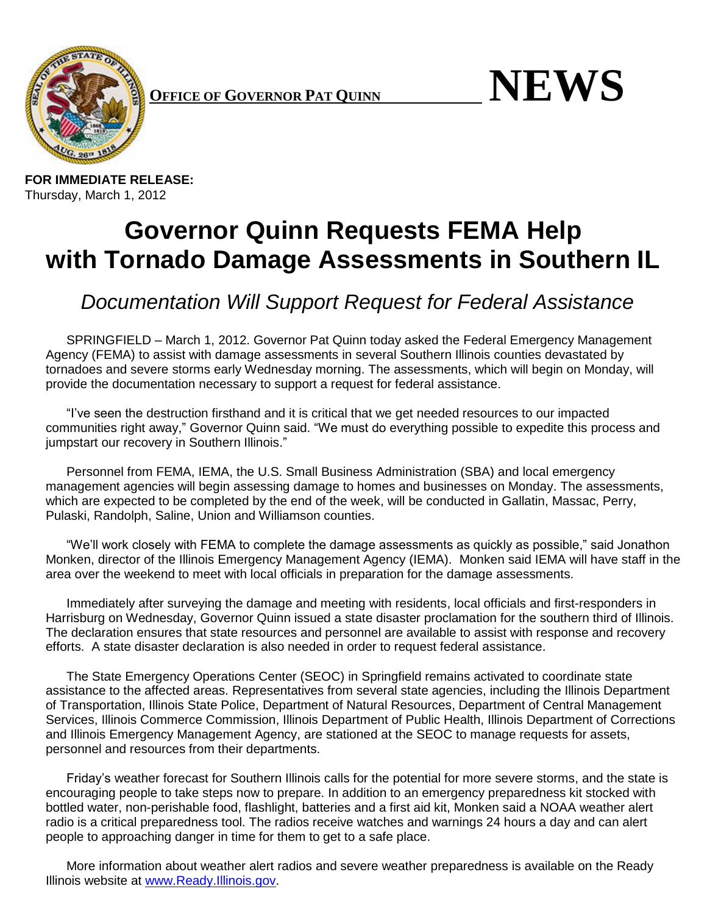

Thursday, March 1, 2012

 $P_{\text{A}}$ **FFICE OF GOVERNOR PAT QUINN** 



## **Governor Quinn Requests FEMA Help with Tornado Damage Assessments in Southern IL**

*Documentation Will Support Request for Federal Assistance*

SPRINGFIELD – March 1, 2012. Governor Pat Quinn today asked the Federal Emergency Management Agency (FEMA) to assist with damage assessments in several Southern Illinois counties devastated by tornadoes and severe storms early Wednesday morning. The assessments, which will begin on Monday, will provide the documentation necessary to support a request for federal assistance.

"I've seen the destruction firsthand and it is critical that we get needed resources to our impacted communities right away," Governor Quinn said. "We must do everything possible to expedite this process and jumpstart our recovery in Southern Illinois."

Personnel from FEMA, IEMA, the U.S. Small Business Administration (SBA) and local emergency management agencies will begin assessing damage to homes and businesses on Monday. The assessments, which are expected to be completed by the end of the week, will be conducted in Gallatin, Massac, Perry, Pulaski, Randolph, Saline, Union and Williamson counties.

"We'll work closely with FEMA to complete the damage assessments as quickly as possible," said Jonathon Monken, director of the Illinois Emergency Management Agency (IEMA). Monken said IEMA will have staff in the area over the weekend to meet with local officials in preparation for the damage assessments.

Immediately after surveying the damage and meeting with residents, local officials and first-responders in Harrisburg on Wednesday, Governor Quinn issued a state disaster proclamation for the southern third of Illinois. The declaration ensures that state resources and personnel are available to assist with response and recovery efforts. A state disaster declaration is also needed in order to request federal assistance.

The State Emergency Operations Center (SEOC) in Springfield remains activated to coordinate state assistance to the affected areas. Representatives from several state agencies, including the Illinois Department of Transportation, Illinois State Police, Department of Natural Resources, Department of Central Management Services, Illinois Commerce Commission, Illinois Department of Public Health, Illinois Department of Corrections and Illinois Emergency Management Agency, are stationed at the SEOC to manage requests for assets, personnel and resources from their departments.

Friday's weather forecast for Southern Illinois calls for the potential for more severe storms, and the state is encouraging people to take steps now to prepare. In addition to an emergency preparedness kit stocked with bottled water, non-perishable food, flashlight, batteries and a first aid kit, Monken said a NOAA weather alert radio is a critical preparedness tool. The radios receive watches and warnings 24 hours a day and can alert people to approaching danger in time for them to get to a safe place.

More information about weather alert radios and severe weather preparedness is available on the Ready Illinois website at [www.Ready.Illinois.gov.](http://www.ready.illinois.gov/)